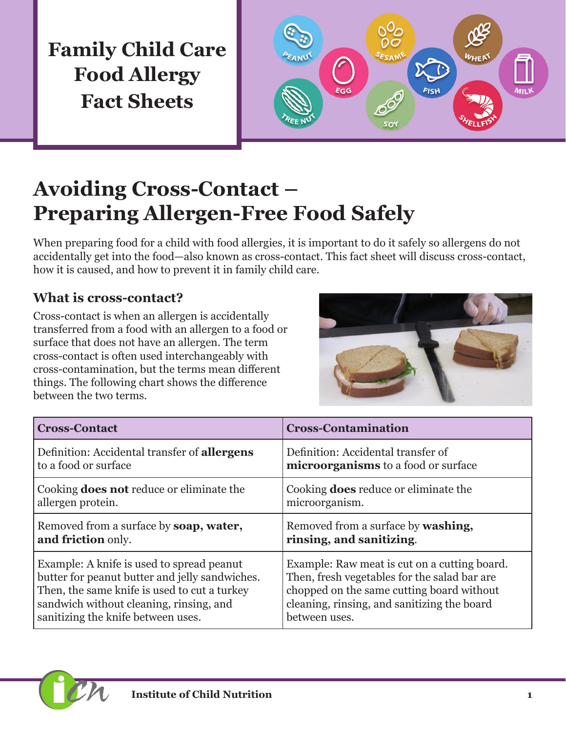

# **Avoiding Cross-Contact – Preparing Allergen-Free Food Safely**

When preparing food for a child with food allergies, it is important to do it safely so allergens do not accidentally get into the food—also known as cross-contact. This fact sheet will discuss cross-contact, how it is caused, and how to prevent it in family child care.

## **What is cross-contact?**

Cross-contact is when an allergen is accidentally transferred from a food with an allergen to a food or surface that does not have an allergen. The term cross-contact is often used interchangeably with cross-contamination, but the terms mean different things. The following chart shows the difference between the two terms.



| <b>Cross-Contact</b>                                | <b>Cross-Contamination</b>                   |
|-----------------------------------------------------|----------------------------------------------|
| Definition: Accidental transfer of <b>allergens</b> | Definition: Accidental transfer of           |
| to a food or surface                                | microorganisms to a food or surface          |
| Cooking <b>does not</b> reduce or eliminate the     | Cooking <b>does</b> reduce or eliminate the  |
| allergen protein.                                   | microorganism.                               |
| Removed from a surface by <b>soap</b> , water,      | Removed from a surface by <b>washing</b> ,   |
| and friction only.                                  | rinsing, and sanitizing.                     |
| Example: A knife is used to spread peanut           | Example: Raw meat is cut on a cutting board. |
| butter for peanut butter and jelly sandwiches.      | Then, fresh vegetables for the salad bar are |
| Then, the same knife is used to cut a turkey        | chopped on the same cutting board without    |
| sandwich without cleaning, rinsing, and             | cleaning, rinsing, and sanitizing the board  |
| sanitizing the knife between uses.                  | between uses.                                |

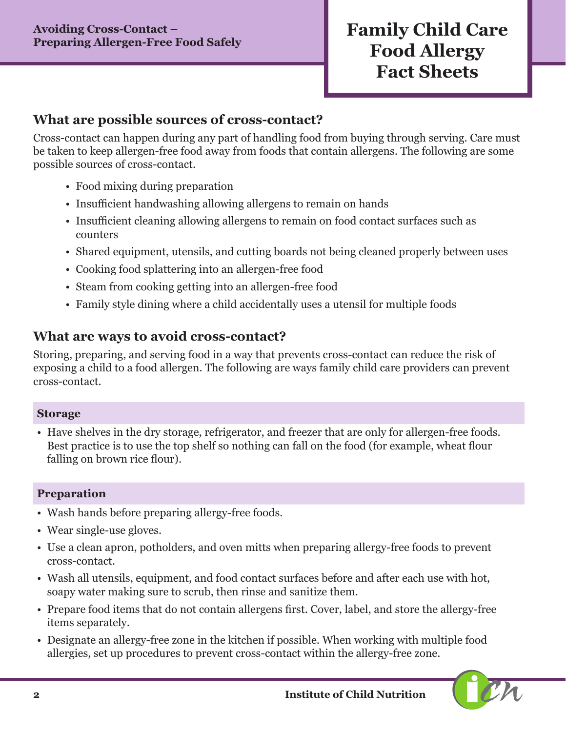#### **What are possible sources of cross-contact?**

Cross-contact can happen during any part of handling food from buying through serving. Care must be taken to keep allergen-free food away from foods that contain allergens. The following are some possible sources of cross-contact.

- Food mixing during preparation
- Insufficient handwashing allowing allergens to remain on hands
- Insufficient cleaning allowing allergens to remain on food contact surfaces such as counters
- Shared equipment, utensils, and cutting boards not being cleaned properly between uses
- Cooking food splattering into an allergen-free food
- Steam from cooking getting into an allergen-free food
- Family style dining where a child accidentally uses a utensil for multiple foods

### **What are ways to avoid cross-contact?**

Storing, preparing, and serving food in a way that prevents cross-contact can reduce the risk of exposing a child to a food allergen. The following are ways family child care providers can prevent cross-contact.

#### **Storage**

• Have shelves in the dry storage, refrigerator, and freezer that are only for allergen-free foods. Best practice is to use the top shelf so nothing can fall on the food (for example, wheat flour falling on brown rice flour).

#### **Preparation**

- Wash hands before preparing allergy-free foods.
- Wear single-use gloves.
- Use a clean apron, potholders, and oven mitts when preparing allergy-free foods to prevent cross-contact.
- Wash all utensils, equipment, and food contact surfaces before and after each use with hot, soapy water making sure to scrub, then rinse and sanitize them.
- Prepare food items that do not contain allergens first. Cover, label, and store the allergy-free items separately.
- Designate an allergy-free zone in the kitchen if possible. When working with multiple food allergies, set up procedures to prevent cross-contact within the allergy-free zone.

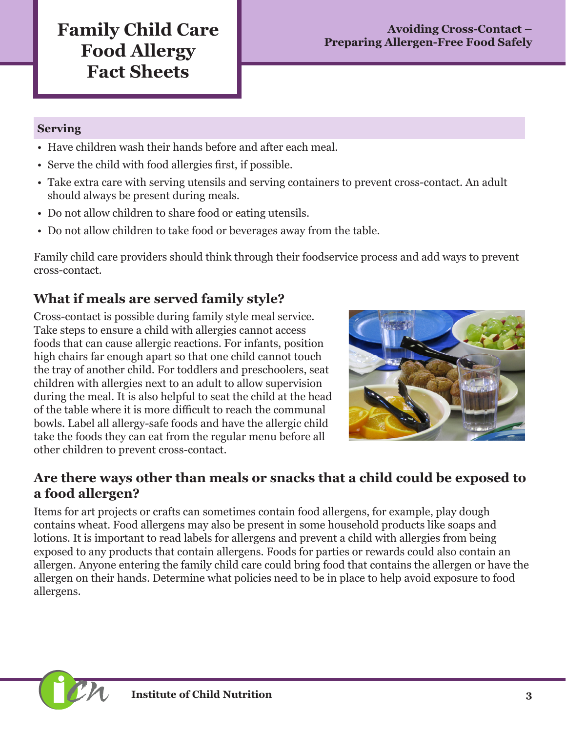### **Serving**

- Have children wash their hands before and after each meal.
- Serve the child with food allergies first, if possible.
- Take extra care with serving utensils and serving containers to prevent cross-contact. An adult should always be present during meals.
- Do not allow children to share food or eating utensils.
- Do not allow children to take food or beverages away from the table.

Family child care providers should think through their foodservice process and add ways to prevent cross-contact.

# **What if meals are served family style?**

Cross-contact is possible during family style meal service. Take steps to ensure a child with allergies cannot access foods that can cause allergic reactions. For infants, position high chairs far enough apart so that one child cannot touch the tray of another child. For toddlers and preschoolers, seat children with allergies next to an adult to allow supervision during the meal. It is also helpful to seat the child at the head of the table where it is more difficult to reach the communal bowls. Label all allergy-safe foods and have the allergic child take the foods they can eat from the regular menu before all other children to prevent cross-contact.



## **Are there ways other than meals or snacks that a child could be exposed to a food allergen?**

Items for art projects or crafts can sometimes contain food allergens, for example, play dough contains wheat. Food allergens may also be present in some household products like soaps and lotions. It is important to read labels for allergens and prevent a child with allergies from being exposed to any products that contain allergens. Foods for parties or rewards could also contain an allergen. Anyone entering the family child care could bring food that contains the allergen or have the allergen on their hands. Determine what policies need to be in place to help avoid exposure to food allergens.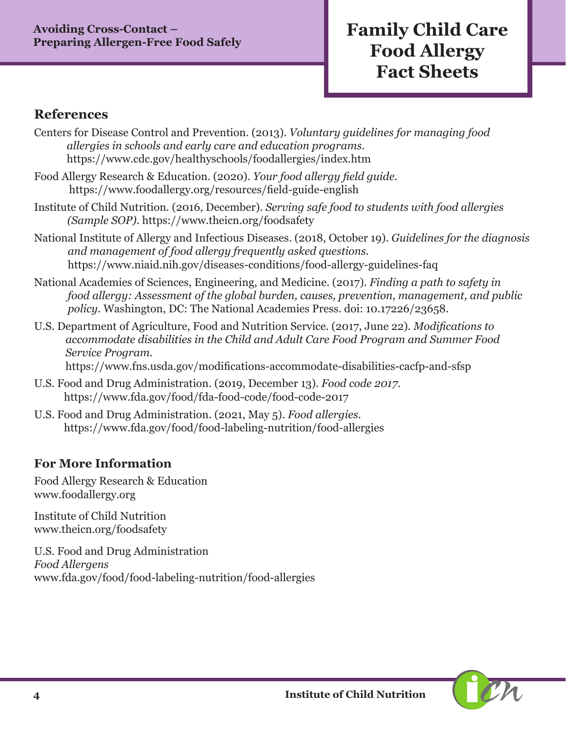### **References**

- Centers for Disease Control and Prevention. (2013). *Voluntary guidelines for managing food allergies in schools and early care and education programs.*  https://www.cdc.gov/healthyschools/foodallergies/index.htm
- Food Allergy Research & Education. (2020). *Your food allergy field guide.* https://www.foodallergy.org/resources/field-guide-english
- Institute of Child Nutrition. (2016, December). *Serving safe food to students with food allergies (Sample SOP)*. https://www.theicn.org/foodsafety
- National Institute of Allergy and Infectious Diseases. (2018, October 19). *Guidelines for the diagnosis and management of food allergy frequently asked questions.* https://www.niaid.nih.gov/diseases-conditions/food-allergy-guidelines-faq
- National Academies of Sciences, Engineering, and Medicine. (2017). *Finding a path to safety in food allergy: Assessment of the global burden, causes, prevention, management, and public policy.* Washington, DC: The National Academies Press. doi: 10.17226/23658.
- U.S. Department of Agriculture, Food and Nutrition Service. (2017, June 22). *Modifications to accommodate disabilities in the Child and Adult Care Food Program and Summer Food Service Program.*

https://www.fns.usda.gov/modifications-accommodate-disabilities-cacfp-and-sfsp

- U.S. Food and Drug Administration. (2019, December 13). *Food code 2017.*  https://www.fda.gov/food/fda-food-code/food-code-2017
- U.S. Food and Drug Administration. (2021, May 5). *Food allergies*. https://www.fda.gov/food/food-labeling-nutrition/food-allergies

### **For More Information**

Food Allergy Research & Education www.foodallergy.org

Institute of Child Nutrition www.theicn.org/foodsafety

U.S. Food and Drug Administration *Food Allergens* www.fda.gov/food/food-labeling-nutrition/food-allergies